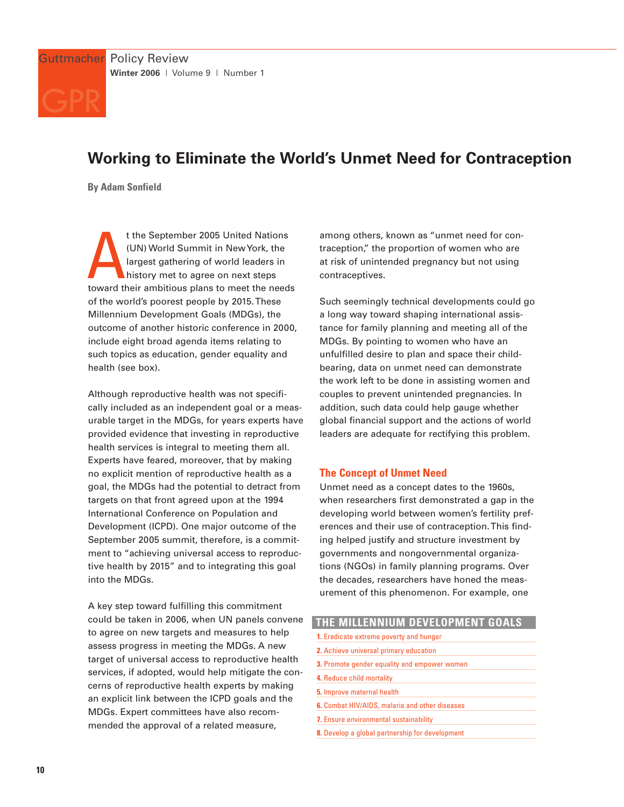

# **Working to Eliminate the World's Unmet Need for Contraception**

**By Adam Sonfield**

t the September 2005 United Nations<br>
(UN) World Summit in New York, the<br>
largest gathering of world leaders in<br>
history met to agree on next steps<br>
toward their ambitious plans to meet the needs t the September 2005 United Nations (UN) World Summit in New York, the largest gathering of world leaders in history met to agree on next steps of the world's poorest people by 2015. These Millennium Development Goals (MDGs), the outcome of another historic conference in 2000, include eight broad agenda items relating to such topics as education, gender equality and health (see box).

Although reproductive health was not specifically included as an independent goal or a measurable target in the MDGs, for years experts have provided evidence that investing in reproductive health services is integral to meeting them all. Experts have feared, moreover, that by making no explicit mention of reproductive health as a goal, the MDGs had the potential to detract from targets on that front agreed upon at the 1994 International Conference on Population and Development (ICPD). One major outcome of the September 2005 summit, therefore, is a commitment to "achieving universal access to reproductive health by 2015" and to integrating this goal into the MDGs.

A key step toward fulfilling this commitment could be taken in 2006, when UN panels convene to agree on new targets and measures to help assess progress in meeting the MDGs. A new target of universal access to reproductive health services, if adopted, would help mitigate the concerns of reproductive health experts by making an explicit link between the ICPD goals and the MDGs. Expert committees have also recommended the approval of a related measure,

among others, known as "unmet need for contraception," the proportion of women who are at risk of unintended pregnancy but not using contraceptives.

Such seemingly technical developments could go a long way toward shaping international assistance for family planning and meeting all of the MDGs. By pointing to women who have an unfulfilled desire to plan and space their childbearing, data on unmet need can demonstrate the work left to be done in assisting women and couples to prevent unintended pregnancies. In addition, such data could help gauge whether global financial support and the actions of world leaders are adequate for rectifying this problem.

## **The Concept of Unmet Need**

Unmet need as a concept dates to the 1960s, when researchers first demonstrated a gap in the developing world between women's fertility preferences and their use of contraception. This finding helped justify and structure investment by governments and nongovernmental organizations (NGOs) in family planning programs. Over the decades, researchers have honed the measurement of this phenomenon. For example, one

| THE MILLENNIUM DEVELOPMENT GOALS                      |
|-------------------------------------------------------|
| 1. Eradicate extreme poverty and hunger               |
| 2. Achieve universal primary education                |
| 3. Promote gender equality and empower women          |
| 4. Reduce child mortality                             |
| 5. Improve maternal health                            |
| <b>6.</b> Combat HIV/AIDS, malaria and other diseases |
| 7. Ensure environmental sustainability                |
| 8. Develop a global partnership for development       |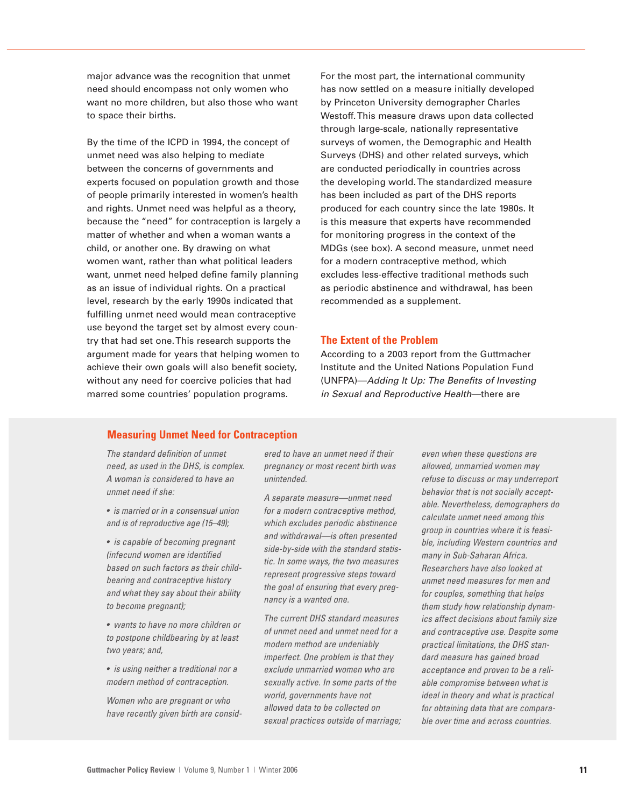major advance was the recognition that unmet need should encompass not only women who want no more children, but also those who want to space their births.

By the time of the ICPD in 1994, the concept of unmet need was also helping to mediate between the concerns of governments and experts focused on population growth and those of people primarily interested in women's health and rights. Unmet need was helpful as a theory, because the "need" for contraception is largely a matter of whether and when a woman wants a child, or another one. By drawing on what women want, rather than what political leaders want, unmet need helped define family planning as an issue of individual rights. On a practical level, research by the early 1990s indicated that fulfilling unmet need would mean contraceptive use beyond the target set by almost every country that had set one. This research supports the argument made for years that helping women to achieve their own goals will also benefit society, without any need for coercive policies that had marred some countries' population programs.

For the most part, the international community has now settled on a measure initially developed by Princeton University demographer Charles Westoff. This measure draws upon data collected through large-scale, nationally representative surveys of women, the Demographic and Health Surveys (DHS) and other related surveys, which are conducted periodically in countries across the developing world. The standardized measure has been included as part of the DHS reports produced for each country since the late 1980s. It is this measure that experts have recommended for monitoring progress in the context of the MDGs (see box). A second measure, unmet need for a modern contraceptive method, which excludes less-effective traditional methods such as periodic abstinence and withdrawal, has been recommended as a supplement.

### **The Extent of the Problem**

According to a 2003 report from the Guttmacher Institute and the United Nations Population Fund (UNFPA)—Adding It Up: The Benefits of Investing in Sexual and Reproductive Health—there are

#### **Measuring Unmet Need for Contraception**

The standard definition of unmet need, as used in the DHS, is complex. A woman is considered to have an unmet need if she:

• is married or in a consensual union and is of reproductive age (15–49);

• is capable of becoming pregnant (infecund women are identified based on such factors as their childbearing and contraceptive history and what they say about their ability to become pregnant);

• wants to have no more children or to postpone childbearing by at least two years; and,

• is using neither a traditional nor a modern method of contraception.

Women who are pregnant or who have recently given birth are considered to have an unmet need if their pregnancy or most recent birth was unintended.

A separate measure—unmet need for a modern contraceptive method, which excludes periodic abstinence and withdrawal—is often presented side-by-side with the standard statistic. In some ways, the two measures represent progressive steps toward the goal of ensuring that every pregnancy is a wanted one.

The current DHS standard measures of unmet need and unmet need for a modern method are undeniably imperfect. One problem is that they exclude unmarried women who are sexually active. In some parts of the world, governments have not allowed data to be collected on sexual practices outside of marriage;

even when these questions are allowed, unmarried women may refuse to discuss or may underreport behavior that is not socially acceptable. Nevertheless, demographers do calculate unmet need among this group in countries where it is feasible, including Western countries and many in Sub-Saharan Africa. Researchers have also looked at unmet need measures for men and for couples, something that helps them study how relationship dynamics affect decisions about family size and contraceptive use. Despite some practical limitations, the DHS standard measure has gained broad acceptance and proven to be a reliable compromise between what is ideal in theory and what is practical for obtaining data that are comparable over time and across countries.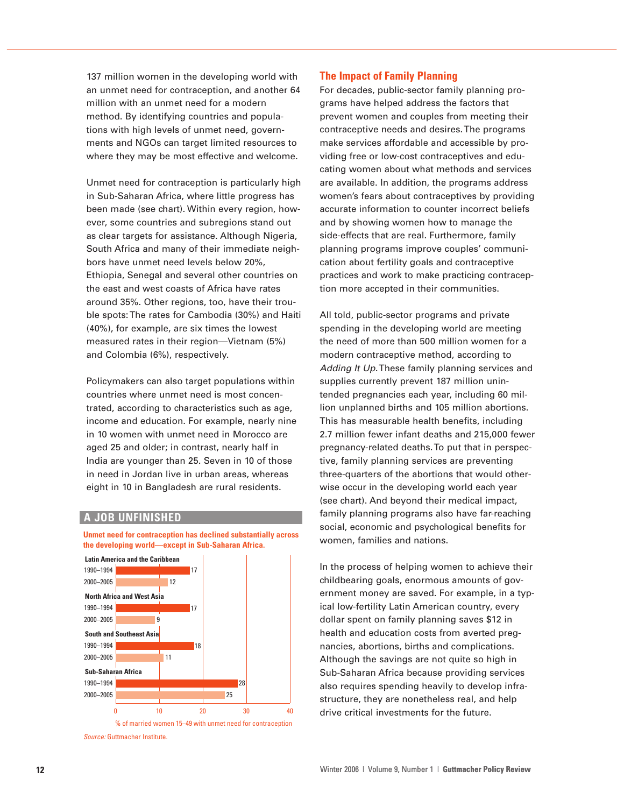137 million women in the developing world with an unmet need for contraception, and another 64 million with an unmet need for a modern method. By identifying countries and populations with high levels of unmet need, governments and NGOs can target limited resources to where they may be most effective and welcome.

Unmet need for contraception is particularly high in Sub-Saharan Africa, where little progress has been made (see chart). Within every region, however, some countries and subregions stand out as clear targets for assistance. Although Nigeria, South Africa and many of their immediate neighbors have unmet need levels below 20%, Ethiopia, Senegal and several other countries on the east and west coasts of Africa have rates around 35%. Other regions, too, have their trouble spots: The rates for Cambodia (30%) and Haiti (40%), for example, are six times the lowest measured rates in their region—Vietnam (5%) and Colombia (6%), respectively.

Policymakers can also target populations within countries where unmet need is most concentrated, according to characteristics such as age, income and education. For example, nearly nine in 10 women with unmet need in Morocco are aged 25 and older; in contrast, nearly half in India are younger than 25. Seven in 10 of those in need in Jordan live in urban areas, whereas eight in 10 in Bangladesh are rural residents.

#### **A JOB UNFINISHED**

**Unmet need for contraception has declined substantially across the developing world—except in Sub-Saharan Africa.**



Source: Guttmacher Institute.

### **The Impact of Family Planning**

For decades, public-sector family planning programs have helped address the factors that prevent women and couples from meeting their contraceptive needs and desires. The programs make services affordable and accessible by providing free or low-cost contraceptives and educating women about what methods and services are available. In addition, the programs address women's fears about contraceptives by providing accurate information to counter incorrect beliefs and by showing women how to manage the side-effects that are real. Furthermore, family planning programs improve couples' communication about fertility goals and contraceptive practices and work to make practicing contraception more accepted in their communities.

All told, public-sector programs and private spending in the developing world are meeting the need of more than 500 million women for a modern contraceptive method, according to Adding It Up. These family planning services and supplies currently prevent 187 million unintended pregnancies each year, including 60 million unplanned births and 105 million abortions. This has measurable health benefits, including 2.7 million fewer infant deaths and 215,000 fewer pregnancy-related deaths. To put that in perspective, family planning services are preventing three-quarters of the abortions that would otherwise occur in the developing world each year (see chart). And beyond their medical impact, family planning programs also have far-reaching social, economic and psychological benefits for women, families and nations.

In the process of helping women to achieve their childbearing goals, enormous amounts of government money are saved. For example, in a typical low-fertility Latin American country, every dollar spent on family planning saves \$12 in health and education costs from averted pregnancies, abortions, births and complications. Although the savings are not quite so high in Sub-Saharan Africa because providing services also requires spending heavily to develop infrastructure, they are nonetheless real, and help drive critical investments for the future.